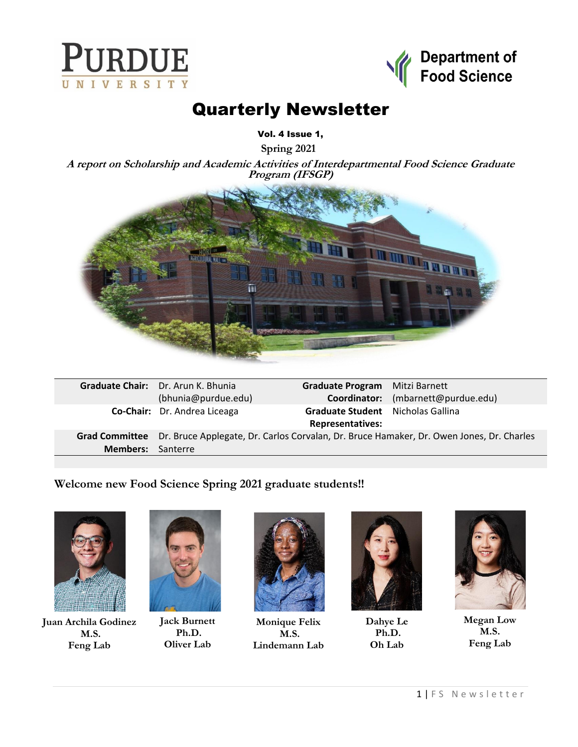



# Quarterly Newsletter

Vol. 4 Issue 1,

**Spring 2021**

**A report on Scholarship and Academic Activities of Interdepartmental Food Science Graduate Program (IFSGP)**



|                          | <b>Graduate Chair:</b> Dr. Arun K. Bhunia                                                | Graduate Program Mitzi Barnett    |                                    |
|--------------------------|------------------------------------------------------------------------------------------|-----------------------------------|------------------------------------|
|                          | (bhunia@purdue.edu)                                                                      |                                   | Coordinator: (mbarnett@purdue.edu) |
|                          | Co-Chair: Dr. Andrea Liceaga                                                             | Graduate Student Nicholas Gallina |                                    |
|                          |                                                                                          | <b>Representatives:</b>           |                                    |
| <b>Grad Committee</b>    | Dr. Bruce Applegate, Dr. Carlos Corvalan, Dr. Bruce Hamaker, Dr. Owen Jones, Dr. Charles |                                   |                                    |
| <b>Members:</b> Santerre |                                                                                          |                                   |                                    |
|                          |                                                                                          |                                   |                                    |

#### **Welcome new Food Science Spring 2021 graduate students!!**



**Juan Archila Godinez M.S. Feng Lab**



**Jack Burnett Ph.D. Oliver Lab**



**Monique Felix M.S. Lindemann Lab**



**Dahye Le Ph.D. Oh Lab**



**Megan Low M.S. Feng Lab**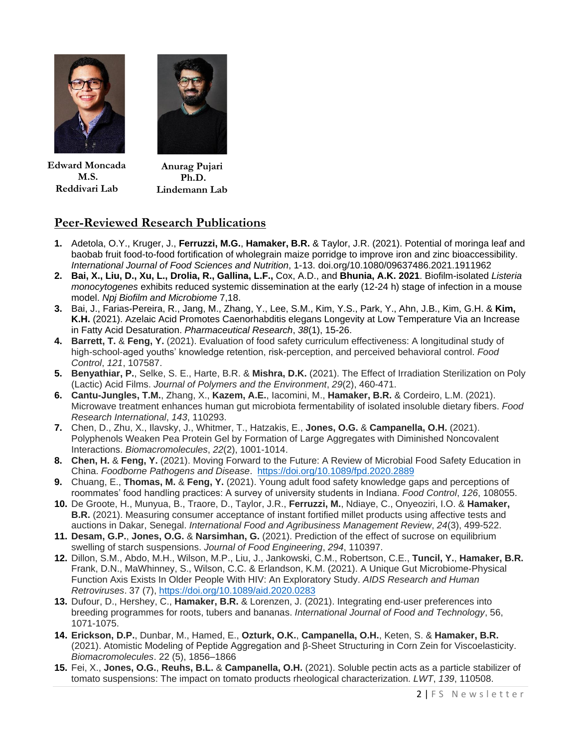



**Edward Moncada M.S. Reddivari Lab**

**Anurag Pujari Ph.D. Lindemann Lab**

### **Peer-Reviewed Research Publications**

- **1.** Adetola, O.Y., Kruger, J., **Ferruzzi, M.G.**, **Hamaker, B.R.** & Taylor, J.R. (2021). Potential of moringa leaf and baobab fruit food-to-food fortification of wholegrain maize porridge to improve iron and zinc bioaccessibility. *International Journal of Food Sciences and Nutrition*, 1-13. doi.org/10.1080/09637486.2021.1911962
- **2. Bai, X., Liu, D., Xu, L., Drolia, R., Gallina, L.F.,** Cox, A.D., and **Bhunia, A.K. 2021**. Biofilm-isolated *Listeria monocytogenes* exhibits reduced systemic dissemination at the early (12-24 h) stage of infection in a mouse model. *Npj Biofilm and Microbiome* 7,18.
- **3.** Bai, J., Farias-Pereira, R., Jang, M., Zhang, Y., Lee, S.M., Kim, Y.S., Park, Y., Ahn, J.B., Kim, G.H. & **Kim, K.H.** (2021). Azelaic Acid Promotes Caenorhabditis elegans Longevity at Low Temperature Via an Increase in Fatty Acid Desaturation. *Pharmaceutical Research*, *38*(1), 15-26.
- **4. Barrett, T.** & **Feng, Y.** (2021). Evaluation of food safety curriculum effectiveness: A longitudinal study of high-school-aged youths' knowledge retention, risk-perception, and perceived behavioral control. *Food Control*, *121*, 107587.
- **5. Benyathiar, P.**, Selke, S. E., Harte, B.R. & **Mishra, D.K.** (2021). The Effect of Irradiation Sterilization on Poly (Lactic) Acid Films. *Journal of Polymers and the Environment*, *29*(2), 460-471.
- **6. Cantu-Jungles, T.M.**, Zhang, X., **Kazem, A.E.**, Iacomini, M., **Hamaker, B.R.** & Cordeiro, L.M. (2021). Microwave treatment enhances human gut microbiota fermentability of isolated insoluble dietary fibers. *Food Research International*, *143*, 110293.
- **7.** Chen, D., Zhu, X., Ilavsky, J., Whitmer, T., Hatzakis, E., **Jones, O.G.** & **Campanella, O.H.** (2021). Polyphenols Weaken Pea Protein Gel by Formation of Large Aggregates with Diminished Noncovalent Interactions. *Biomacromolecules*, *22*(2), 1001-1014.
- **8. Chen, H.** & **Feng, Y.** (2021). Moving Forward to the Future: A Review of Microbial Food Safety Education in China. *Foodborne Pathogens and Disease*.<https://doi.org/10.1089/fpd.2020.2889>
- **9.** Chuang, E., **Thomas, M.** & **Feng, Y.** (2021). Young adult food safety knowledge gaps and perceptions of roommates' food handling practices: A survey of university students in Indiana. *Food Control*, *126*, 108055.
- **10.** De Groote, H., Munyua, B., Traore, D., Taylor, J.R., **Ferruzzi, M.**, Ndiaye, C., Onyeoziri, I.O. & **Hamaker, B.R.** (2021). Measuring consumer acceptance of instant fortified millet products using affective tests and auctions in Dakar, Senegal. *International Food and Agribusiness Management Review*, *24*(3), 499-522.
- **11. Desam, G.P.**, **Jones, O.G.** & **Narsimhan, G.** (2021). Prediction of the effect of sucrose on equilibrium swelling of starch suspensions. *Journal of Food Engineering*, *294*, 110397.
- **12.** Dillon, S.M., Abdo, M.H., Wilson, M.P., Liu, J., Jankowski, C.M., Robertson, C.E., **Tuncil, Y.**, **Hamaker, B.R.** Frank, D.N., MaWhinney, S., Wilson, C.C. & Erlandson, K.M. (2021). A Unique Gut Microbiome-Physical Function Axis Exists In Older People With HIV: An Exploratory Study. *AIDS Research and Human Retroviruses*. 37 (7), <https://doi.org/10.1089/aid.2020.0283>
- **13.** Dufour, D., Hershey, C., **Hamaker, B.R.** & Lorenzen, J. (2021). Integrating end‐user preferences into breeding programmes for roots, tubers and bananas. *International Journal of Food and Technology*, 56, 1071-1075.
- **14. Erickson, D.P.**, Dunbar, M., Hamed, E., **Ozturk, O.K.**, **Campanella, O.H.**, Keten, S. & **Hamaker, B.R.**  (2021). Atomistic Modeling of Peptide Aggregation and β-Sheet Structuring in Corn Zein for Viscoelasticity. *Biomacromolecules*. 22 (5), 1856–1866
- **15.** Fei, X., **Jones, O.G.**, **Reuhs, B.L.** & **Campanella, O.H.** (2021). Soluble pectin acts as a particle stabilizer of tomato suspensions: The impact on tomato products rheological characterization. *LWT*, *139*, 110508.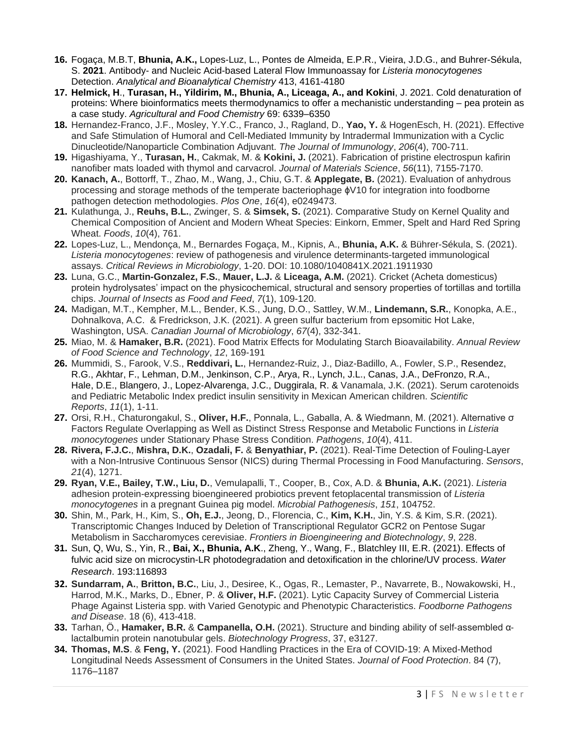- **16.** Fogaça, M.B.T, **Bhunia, A.K.,** Lopes-Luz, L., Pontes de Almeida, E.P.R., Vieira, J.D.G., and Buhrer-Sékula, S. **2021**. Antibody- and Nucleic Acid-based Lateral Flow Immunoassay for *Listeria monocytogenes* Detection. *Analytical and Bioanalytical Chemistry* 413, 4161-4180
- **17. Helmick, H**., **Turasan, H., Yildirim, M., Bhunia, A., Liceaga, A., and Kokini**, J. 2021. Cold denaturation of proteins: Where bioinformatics meets thermodynamics to offer a mechanistic understanding – pea protein as a case study. *Agricultural and Food Chemistry* 69: 6339–6350
- **18.** Hernandez-Franco, J.F., Mosley, Y.Y.C., Franco, J., Ragland, D., **Yao, Y.** & HogenEsch, H. (2021). Effective and Safe Stimulation of Humoral and Cell-Mediated Immunity by Intradermal Immunization with a Cyclic Dinucleotide/Nanoparticle Combination Adjuvant. *The Journal of Immunology*, *206*(4), 700-711.
- **19.** Higashiyama, Y., **Turasan, H.**, Cakmak, M. & **Kokini, J.** (2021). Fabrication of pristine electrospun kafirin nanofiber mats loaded with thymol and carvacrol. *Journal of Materials Science*, *56*(11), 7155-7170.
- **20. Kanach, A.**, Bottorff, T., Zhao, M., Wang, J., Chiu, G.T. & **Applegate, B.** (2021). Evaluation of anhydrous processing and storage methods of the temperate bacteriophage ɸV10 for integration into foodborne pathogen detection methodologies. *Plos One*, *16*(4), e0249473.
- **21.** Kulathunga, J., **Reuhs, B.L.**, Zwinger, S. & **Simsek, S.** (2021). Comparative Study on Kernel Quality and Chemical Composition of Ancient and Modern Wheat Species: Einkorn, Emmer, Spelt and Hard Red Spring Wheat. *Foods*, *10*(4), 761.
- **22.** Lopes-Luz, L., Mendonça, M., Bernardes Fogaça, M., Kipnis, A., **Bhunia, A.K.** & Bührer-Sékula, S. (2021). *Listeria monocytogenes*: review of pathogenesis and virulence determinants-targeted immunological assays. *Critical Reviews in Microbiology*, 1-20. DOI: 10.1080/1040841X.2021.1911930
- **23.** Luna, G.C., **Martin-Gonzalez, F.S.**, **Mauer, L.J.** & **Liceaga, A.M.** (2021). Cricket (Acheta domesticus) protein hydrolysates' impact on the physicochemical, structural and sensory properties of tortillas and tortilla chips. *Journal of Insects as Food and Feed*, *7*(1), 109-120.
- **24.** Madigan, M.T., Kempher, M.L., Bender, K.S., Jung, D.O., Sattley, W.M., **Lindemann, S.R.**, Konopka, A.E., Dohnalkova, A.C. & Fredrickson, J.K. (2021). A green sulfur bacterium from epsomitic Hot Lake, Washington, USA. *Canadian Journal of Microbiology*, *67*(4), 332-341.
- **25.** Miao, M. & **Hamaker, B.R.** (2021). Food Matrix Effects for Modulating Starch Bioavailability. *Annual Review of Food Science and Technology*, *12*, 169-191
- **26.** Mummidi, S., Farook, V.S., **Reddivari, L.**, Hernandez-Ruiz, J., Diaz-Badillo, A., Fowler, S.P., [Resendez,](https://www.nature.com/articles/s41598-020-79387-8#auth-Roy_G_-Resendez) R.G., [Akhtar,](https://www.nature.com/articles/s41598-020-79387-8#auth-Feroz-Akhtar) F., Lehman, D.M., [Jenkinson,](https://www.nature.com/articles/s41598-020-79387-8#auth-Christopher_P_-Jenkinson) C.P., [Arya,](https://www.nature.com/articles/s41598-020-79387-8#auth-Rector-Arya) R., [Lynch,](https://www.nature.com/articles/s41598-020-79387-8#auth-Jane_L_-Lynch) J.L., [Canas,](https://www.nature.com/articles/s41598-020-79387-8#auth-Jose_A_-Canas) J.A., [DeFronzo,](https://www.nature.com/articles/s41598-020-79387-8#auth-Ralph_A_-DeFronzo) R.A., Hale, D.E.[, Blangero,](https://www.nature.com/articles/s41598-020-79387-8#auth-John-Blangero) J., [Lopez-Alvarenga,](https://www.nature.com/articles/s41598-020-79387-8#auth-Juan_Carlos-Lopez_Alvarenga) J.C., [Duggirala,](https://www.nature.com/articles/s41598-020-79387-8#auth-Ravindranath-Duggirala) R. & Vanamala, J.K. (2021). Serum carotenoids and Pediatric Metabolic Index predict insulin sensitivity in Mexican American children. *Scientific Reports*, *11*(1), 1-11.
- **27.** Orsi, R.H., Chaturongakul, S., **Oliver, H.F.**, Ponnala, L., Gaballa, A. & Wiedmann, M. (2021). Alternative σ Factors Regulate Overlapping as Well as Distinct Stress Response and Metabolic Functions in *Listeria monocytogenes* under Stationary Phase Stress Condition. *Pathogens*, *10*(4), 411.
- **28. Rivera, F.J.C.**, **Mishra, D.K.**, **Ozadali, F.** & **Benyathiar, P.** (2021). Real-Time Detection of Fouling-Layer with a Non-Intrusive Continuous Sensor (NICS) during Thermal Processing in Food Manufacturing. *Sensors*, *21*(4), 1271.
- **29. Ryan, V.E., Bailey, T.W., Liu, D.**, Vemulapalli, T., Cooper, B., Cox, A.D. & **Bhunia, A.K.** (2021). *Listeria* adhesion protein-expressing bioengineered probiotics prevent fetoplacental transmission of *Listeria monocytogenes* in a pregnant Guinea pig model. *Microbial Pathogenesis*, *151*, 104752.
- **30.** Shin, M., Park, H., Kim, S., **Oh, E.J.**, Jeong, D., Florencia, C., **Kim, K.H.**, Jin, Y.S. & Kim, S.R. (2021). Transcriptomic Changes Induced by Deletion of Transcriptional Regulator GCR2 on Pentose Sugar Metabolism in Saccharomyces cerevisiae. *Frontiers in Bioengineering and Biotechnology*, *9*, 228.
- **31.** Sun, Q, Wu, S., Yin, R., **Bai, X., Bhunia, A.K**., Zheng, Y., Wang, F., Blatchley III, E.R. (2021). Effects of fulvic acid size on microcystin-LR photodegradation and detoxification in the chlorine/UV process. *Water Research*. 193:116893
- **32. Sundarram, A.**, **Britton, B.C.**, Liu, J., Desiree, K., Ogas, R., Lemaster, P., Navarrete, B., Nowakowski, H., Harrod, M.K., Marks, D., Ebner, P. & **Oliver, H.F.** (2021). Lytic Capacity Survey of Commercial Listeria Phage Against Listeria spp. with Varied Genotypic and Phenotypic Characteristics. *Foodborne Pathogens and Disease*. 18 (6), 413-418.
- **33.** Tarhan, Ö., **Hamaker, B.R.** & **Campanella, O.H.** (2021). Structure and binding ability of self‐assembled α‐ lactalbumin protein nanotubular gels. *Biotechnology Progress*, 37, e3127.
- **34. Thomas, M.S**. & **Feng, Y.** (2021). Food Handling Practices in the Era of COVID-19: A Mixed-Method Longitudinal Needs Assessment of Consumers in the United States. *Journal of Food Protection*. 84 (7), 1176–1187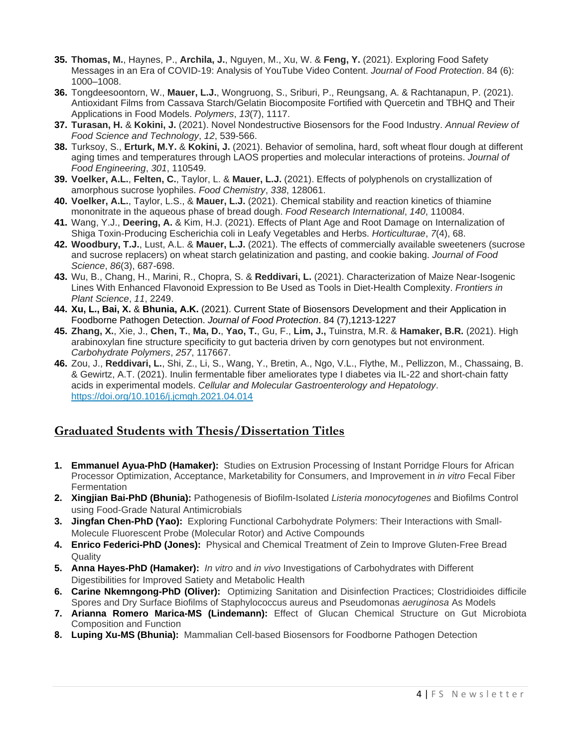- **35. Thomas, M.**, Haynes, P., **Archila, J.**, Nguyen, M., Xu, W. & **Feng, Y.** (2021). Exploring Food Safety Messages in an Era of COVID-19: Analysis of YouTube Video Content. *Journal of Food Protection*. 84 (6): 1000–1008.
- **36.** Tongdeesoontorn, W., **Mauer, L.J.**, Wongruong, S., Sriburi, P., Reungsang, A. & Rachtanapun, P. (2021). Antioxidant Films from Cassava Starch/Gelatin Biocomposite Fortified with Quercetin and TBHQ and Their Applications in Food Models. *Polymers*, *13*(7), 1117.
- **37. Turasan, H.** & **Kokini, J.** (2021). Novel Nondestructive Biosensors for the Food Industry. *Annual Review of Food Science and Technology*, *12*, 539-566.
- **38.** Turksoy, S., **Erturk, M.Y.** & **Kokini, J.** (2021). Behavior of semolina, hard, soft wheat flour dough at different aging times and temperatures through LAOS properties and molecular interactions of proteins. *Journal of Food Engineering*, *301*, 110549.
- **39. Voelker, A.L.**, **Felten, C.**, Taylor, L. & **Mauer, L.J.** (2021). Effects of polyphenols on crystallization of amorphous sucrose lyophiles. *Food Chemistry*, *338*, 128061.
- **40. Voelker, A.L.**, Taylor, L.S., & **Mauer, L.J.** (2021). Chemical stability and reaction kinetics of thiamine mononitrate in the aqueous phase of bread dough. *Food Research International*, *140*, 110084.
- **41.** Wang, Y.J., **Deering, A.** & Kim, H.J. (2021). Effects of Plant Age and Root Damage on Internalization of Shiga Toxin-Producing Escherichia coli in Leafy Vegetables and Herbs. *Horticulturae*, *7*(4), 68.
- **42. Woodbury, T.J.**, Lust, A.L. & **Mauer, L.J.** (2021). The effects of commercially available sweeteners (sucrose and sucrose replacers) on wheat starch gelatinization and pasting, and cookie baking. *Journal of Food Science*, *86*(3), 687-698.
- **43.** Wu, B., Chang, H., Marini, R., Chopra, S. & **Reddivari, L.** (2021). Characterization of Maize Near-Isogenic Lines With Enhanced Flavonoid Expression to Be Used as Tools in Diet-Health Complexity. *Frontiers in Plant Science*, *11*, 2249.
- **44. Xu, L., Bai, X.** & **Bhunia, A.K.** (2021). Current State of Biosensors Development and their Application in Foodborne Pathogen Detection. *Journal of Food Protection*. 84 (7),1213-1227
- **45. Zhang, X.**, Xie, J., **Chen, T.**, **Ma, D.**, **Yao, T.**, Gu, F., **Lim, J.,** Tuinstra, M.R. & **Hamaker, B.R.** (2021). High arabinoxylan fine structure specificity to gut bacteria driven by corn genotypes but not environment. *Carbohydrate Polymers*, *257*, 117667.
- **46.** Zou, J., **Reddivari, L.**, Shi, Z., Li, S., Wang, Y., Bretin, A., Ngo, V.L., Flythe, M., Pellizzon, M., Chassaing, B. & Gewirtz, A.T. (2021). Inulin fermentable fiber ameliorates type I diabetes via IL-22 and short-chain fatty acids in experimental models. *Cellular and Molecular Gastroenterology and Hepatology*. <https://doi.org/10.1016/j.jcmgh.2021.04.014>

#### **Graduated Students with Thesis/Dissertation Titles**

- **1. Emmanuel Ayua-PhD (Hamaker):** Studies on Extrusion Processing of Instant Porridge Flours for African Processor Optimization, Acceptance, Marketability for Consumers, and Improvement in *in vitro* Fecal Fiber **Fermentation**
- **2. Xingjian Bai-PhD (Bhunia):** Pathogenesis of Biofilm-Isolated *Listeria monocytogenes* and Biofilms Control using Food-Grade Natural Antimicrobials
- **3. Jingfan Chen-PhD (Yao):** Exploring Functional Carbohydrate Polymers: Their Interactions with Small-Molecule Fluorescent Probe (Molecular Rotor) and Active Compounds
- **4. Enrico Federici-PhD (Jones):** Physical and Chemical Treatment of Zein to Improve Gluten-Free Bread **Quality**
- **5. Anna Hayes-PhD (Hamaker):** *In vitro* and *in vivo* Investigations of Carbohydrates with Different Digestibilities for Improved Satiety and Metabolic Health
- **6. Carine Nkemngong-PhD (Oliver):** Optimizing Sanitation and Disinfection Practices; Clostridioides difficile Spores and Dry Surface Biofilms of Staphylococcus aureus and Pseudomonas *aeruginosa* As Models
- **7. Arianna Romero Marica-MS (Lindemann):** Effect of Glucan Chemical Structure on Gut Microbiota Composition and Function
- **8. Luping Xu-MS (Bhunia):** Mammalian Cell-based Biosensors for Foodborne Pathogen Detection